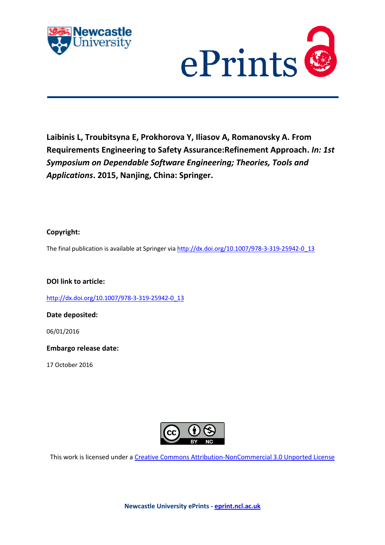



**Laibinis L, Troubitsyna E, Prokhorova Y, Iliasov A, Romanovsky A. From Requirements Engineering to Safety Assurance:Refinement Approach.** *In: 1st Symposium on Dependable Software Engineering; Theories, Tools and Applications***. 2015, Nanjing, China: Springer.**

# **Copyright:**

The final publication is available at Springer via [http://dx.doi.org/10.1007/978-3-319-25942-0\\_13](http://dx.doi.org/10.1007/978-3-319-25942-0_13)

**DOI link to article:**

[http://dx.doi.org/10.1007/978-3-319-25942-0\\_13](http://dx.doi.org/10.1007/978-3-319-25942-0_13)

**Date deposited:** 

06/01/2016

**Embargo release date:**

17 October 2016



This work is licensed under a [Creative Commons Attribution-NonCommercial 3.0 Unported License](http://creativecommons.org/licenses/by-nc/3.0/deed.en_GB)

**Newcastle University ePrints - [eprint.ncl.ac.uk](http://eprint.ncl.ac.uk/)**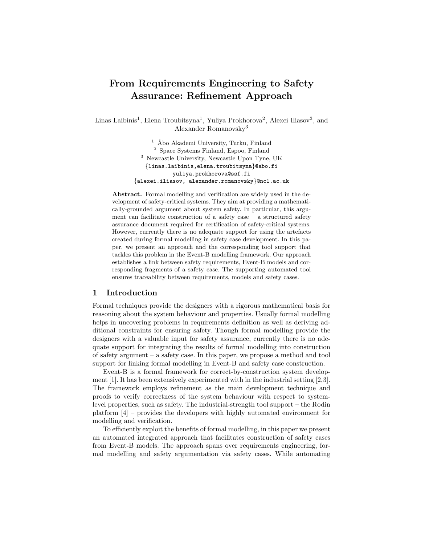# From Requirements Engineering to Safety Assurance: Refinement Approach

Linas Laibinis<sup>1</sup>, Elena Troubitsyna<sup>1</sup>, Yuliya Prokhorova<sup>2</sup>, Alexei Iliasov<sup>3</sup>, and Alexander Romanovsky<sup>3</sup>

> <sup>1</sup> Åbo Akademi University, Turku, Finland <sup>2</sup> Space Systems Finland, Espoo, Finland <sup>3</sup> Newcastle University, Newcastle Upon Tyne, UK {linas.laibinis,elena.troubitsyna}@abo.fi yuliya.prokhorova@ssf.fi {alexei.iliasov, alexander.romanovsky}@ncl.ac.uk

Abstract. Formal modelling and verification are widely used in the development of safety-critical systems. They aim at providing a mathematically-grounded argument about system safety. In particular, this argument can facilitate construction of a safety case – a structured safety assurance document required for certification of safety-critical systems. However, currently there is no adequate support for using the artefacts created during formal modelling in safety case development. In this paper, we present an approach and the corresponding tool support that tackles this problem in the Event-B modelling framework. Our approach establishes a link between safety requirements, Event-B models and corresponding fragments of a safety case. The supporting automated tool ensures traceability between requirements, models and safety cases.

#### 1 Introduction

Formal techniques provide the designers with a rigorous mathematical basis for reasoning about the system behaviour and properties. Usually formal modelling helps in uncovering problems in requirements definition as well as deriving additional constraints for ensuring safety. Though formal modelling provide the designers with a valuable input for safety assurance, currently there is no adequate support for integrating the results of formal modelling into construction of safety argument – a safety case. In this paper, we propose a method and tool support for linking formal modelling in Event-B and safety case construction.

Event-B is a formal framework for correct-by-construction system development [1]. It has been extensively experimented with in the industrial setting [2,3]. The framework employs refinement as the main development technique and proofs to verify correctness of the system behaviour with respect to systemlevel properties, such as safety. The industrial-strength tool support – the Rodin platform [4] – provides the developers with highly automated environment for modelling and verification.

To efficiently exploit the benefits of formal modelling, in this paper we present an automated integrated approach that facilitates construction of safety cases from Event-B models. The approach spans over requirements engineering, formal modelling and safety argumentation via safety cases. While automating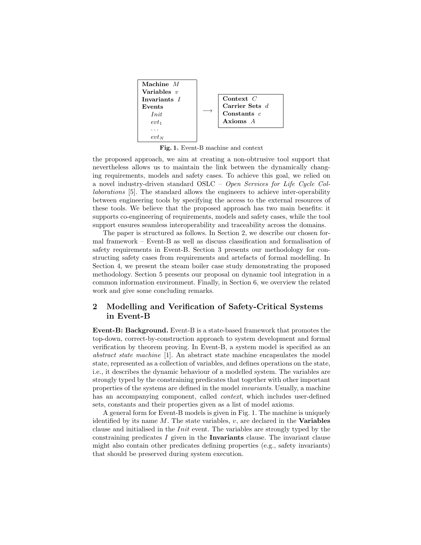

Fig. 1. Event-B machine and context

the proposed approach, we aim at creating a non-obtrusive tool support that nevertheless allows us to maintain the link between the dynamically changing requirements, models and safety cases. To achieve this goal, we relied on a novel industry-driven standard OSLC – Open Services for Life Cycle Collaborations [5]. The standard allows the engineers to achieve inter-operability between engineering tools by specifying the access to the external resources of these tools. We believe that the proposed approach has two main benefits: it supports co-engineering of requirements, models and safety cases, while the tool support ensures seamless interoperability and traceability across the domains.

The paper is structured as follows. In Section 2, we describe our chosen formal framework – Event-B as well as discuss classification and formalisation of safety requirements in Event-B. Section 3 presents our methodology for constructing safety cases from requirements and artefacts of formal modelling. In Section 4, we present the steam boiler case study demonstrating the proposed methodology. Section 5 presents our proposal on dynamic tool integration in a common information environment. Finally, in Section 6, we overview the related work and give some concluding remarks.

## 2 Modelling and Verification of Safety-Critical Systems in Event-B

Event-B: Background. Event-B is a state-based framework that promotes the top-down, correct-by-construction approach to system development and formal verification by theorem proving. In Event-B, a system model is specified as an abstract state machine [1]. An abstract state machine encapsulates the model state, represented as a collection of variables, and defines operations on the state, i.e., it describes the dynamic behaviour of a modelled system. The variables are strongly typed by the constraining predicates that together with other important properties of the systems are defined in the model invariants. Usually, a machine has an accompanying component, called *context*, which includes user-defined sets, constants and their properties given as a list of model axioms.

A general form for Event-B models is given in Fig. 1. The machine is uniquely identified by its name  $M$ . The state variables,  $v$ , are declared in the **Variables** clause and initialised in the Init event. The variables are strongly typed by the constraining predicates  $I$  given in the **Invariants** clause. The invariant clause might also contain other predicates defining properties (e.g., safety invariants) that should be preserved during system execution.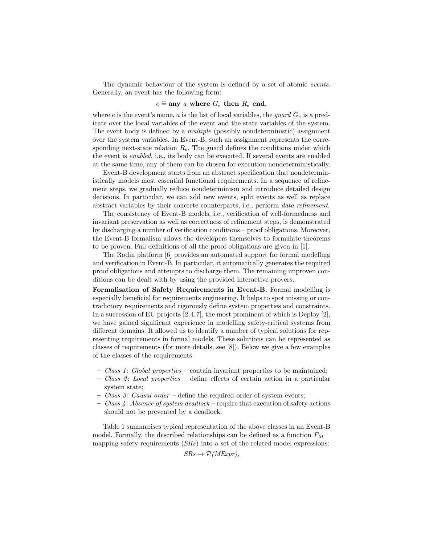The dynamic behaviour of the system is defined by a set of atomic events. Generally, an event has the following form:

#### $e \,\widehat{=}$  any a where  $G_e$  then  $R_e$  end,

where e is the event's name, a is the list of local variables, the *guard*  $G_e$  is a predicate over the local variables of the event and the state variables of the system. The event body is defined by a multiple (possibly nondeterministic) assignment over the system variables. In Event-B, such an assignment represents the corresponding next-state relation  $R_e$ . The guard defines the conditions under which the event is enabled, i.e., its body can be executed. If several events are enabled at the same time, any of them can be chosen for execution nondeterministically.

Event-B development starts from an abstract specification that nondeterministically models most essential functional requirements. In a sequence of refinement steps, we gradually reduce nondeterminism and introduce detailed design decisions. In particular, we can add new events, split events as well as replace abstract variables by their concrete counterparts, i.e., perform data refinement.

The consistency of Event-B models, i.e., verification of well-formedness and invariant preservation as well as correctness of refinement steps, is demonstrated by discharging a number of verification conditions – proof obligations. Moreover, the Event-B formalism allows the developers themselves to formulate theorems to be proven. Full definitions of all the proof obligations are given in [1].

The Rodin platform [6] provides an automated support for formal modelling and verification in Event-B. In particular, it automatically generates the required proof obligations and attempts to discharge them. The remaining unproven conditions can be dealt with by using the provided interactive provers.

Formalisation of Safety Requirements in Event-B. Formal modelling is especially beneficial for requirements engineering. It helps to spot missing or contradictory requirements and rigorously define system properties and constraints. In a succession of EU projects [2,4,7], the most prominent of which is Deploy [2], we have gained significant experience in modelling safety-critical systems from different domains. It allowed us to identify a number of typical solutions for representing requirements in formal models. These solutions can be represented as classes of requirements (for more details, see [8]). Below we give a few examples of the classes of the requirements:

- $-$  Class 1: Global properties contain invariant properties to be maintained;
- $-$  Class 2: Local properties define effects of certain action in a particular system state;
- Class 3: Causal order define the required order of system events;
- $-$  Class 4: Absence of system deadlock require that execution of safety actions should not be prevented by a deadlock.

Table 1 summarises typical representation of the above classes in an Event-B model. Formally, the described relationships can be defined as a function  $F_M$ mapping safety requirements  $(SRs)$  into a set of the related model expressions:

 $SRs \rightarrow \mathcal{P}(MExpr)$ ,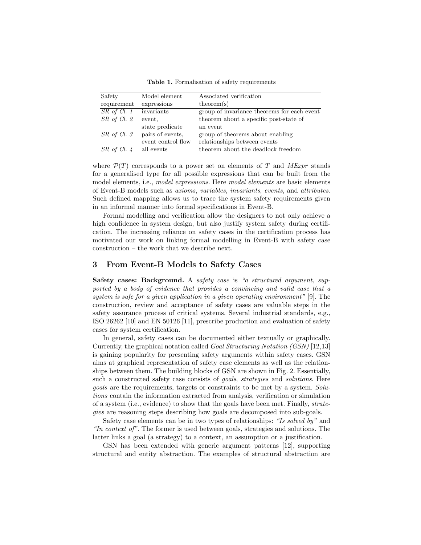| Safety      | Model element      | Associated verification                     |
|-------------|--------------------|---------------------------------------------|
| requirement | expressions        | theorem(s)                                  |
| SR of Cl. 1 | invariants         | group of invariance theorems for each event |
| SR of Cl. 2 | event,             | theorem about a specific post-state of      |
|             | state predicate    | an event                                    |
| SR of Cl. 3 | pairs of events,   | group of theorems about enabling            |
|             | event control flow | relationships between events                |
| SR of Cl. 4 | all events         | theorem about the deadlock freedom          |

Table 1. Formalisation of safety requirements

where  $\mathcal{P}(T)$  corresponds to a power set on elements of T and MExpr stands for a generalised type for all possible expressions that can be built from the model elements, i.e., model expressions. Here model elements are basic elements of Event-B models such as axioms, variables, invariants, events, and attributes. Such defined mapping allows us to trace the system safety requirements given in an informal manner into formal specifications in Event-B.

Formal modelling and verification allow the designers to not only achieve a high confidence in system design, but also justify system safety during certification. The increasing reliance on safety cases in the certification process has motivated our work on linking formal modelling in Event-B with safety case construction – the work that we describe next.

#### 3 From Event-B Models to Safety Cases

Safety cases: Background. A safety case is "a structured argument, supported by a body of evidence that provides a convincing and valid case that a system is safe for a given application in a given operating environment" [9]. The construction, review and acceptance of safety cases are valuable steps in the safety assurance process of critical systems. Several industrial standards, e.g., ISO 26262 [10] and EN 50126 [11], prescribe production and evaluation of safety cases for system certification.

In general, safety cases can be documented either textually or graphically. Currently, the graphical notation called Goal Structuring Notation (GSN) [12,13] is gaining popularity for presenting safety arguments within safety cases. GSN aims at graphical representation of safety case elements as well as the relationships between them. The building blocks of GSN are shown in Fig. 2. Essentially, such a constructed safety case consists of goals, strategies and solutions. Here goals are the requirements, targets or constraints to be met by a system. Solutions contain the information extracted from analysis, verification or simulation of a system (i.e., evidence) to show that the goals have been met. Finally, strategies are reasoning steps describing how goals are decomposed into sub-goals.

Safety case elements can be in two types of relationships: "Is solved by" and "In context of". The former is used between goals, strategies and solutions. The latter links a goal (a strategy) to a context, an assumption or a justification.

GSN has been extended with generic argument patterns [12], supporting structural and entity abstraction. The examples of structural abstraction are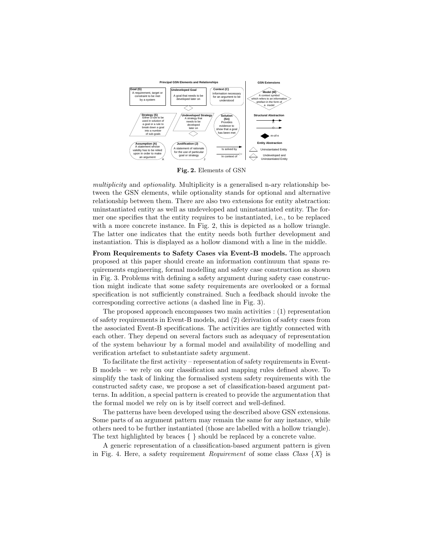

Fig. 2. Elements of GSN

multiplicity and optionality. Multiplicity is a generalised n-ary relationship between the GSN elements, while optionality stands for optional and alternative relationship between them. There are also two extensions for entity abstraction: uninstantiated entity as well as undeveloped and uninstantiated entity. The former one specifies that the entity requires to be instantiated, i.e., to be replaced with a more concrete instance. In Fig. 2, this is depicted as a hollow triangle. The latter one indicates that the entity needs both further development and instantiation. This is displayed as a hollow diamond with a line in the middle.

From Requirements to Safety Cases via Event-B models. The approach proposed at this paper should create an information continuum that spans requirements engineering, formal modelling and safety case construction as shown in Fig. 3. Problems with defining a safety argument during safety case construction might indicate that some safety requirements are overlooked or a formal specification is not sufficiently constrained. Such a feedback should invoke the corresponding corrective actions (a dashed line in Fig. 3).

The proposed approach encompasses two main activities : (1) representation of safety requirements in Event-B models, and (2) derivation of safety cases from the associated Event-B specifications. The activities are tightly connected with each other. They depend on several factors such as adequacy of representation of the system behaviour by a formal model and availability of modelling and verification artefact to substantiate safety argument.

To facilitate the first activity – representation of safety requirements in Event-B models – we rely on our classification and mapping rules defined above. To simplify the task of linking the formalised system safety requirements with the constructed safety case, we propose a set of classification-based argument patterns. In addition, a special pattern is created to provide the argumentation that the formal model we rely on is by itself correct and well-defined.

The patterns have been developed using the described above GSN extensions. Some parts of an argument pattern may remain the same for any instance, while others need to be further instantiated (those are labelled with a hollow triangle). The text highlighted by braces { } should be replaced by a concrete value.

A generic representation of a classification-based argument pattern is given in Fig. 4. Here, a safety requirement *Requirement* of some class  $Class\{X\}$  is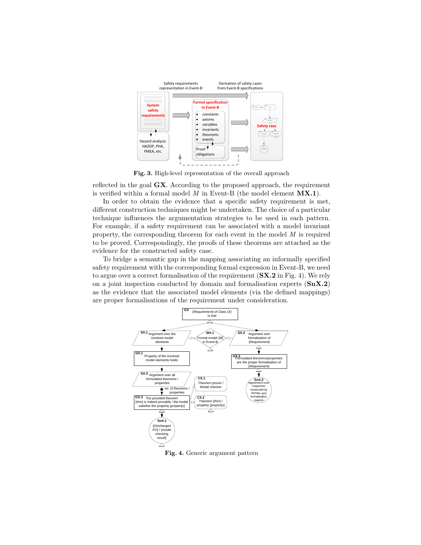

Fig. 3. High-level representation of the overall approach

reflected in the goal  $\mathbf{G}\mathbf{X}$ . According to the proposed approach, the requirement is verified within a formal model  $M$  in Event-B (the model element  $MX.1$ ).

In order to obtain the evidence that a specific safety requirement is met, different construction techniques might be undertaken. The choice of a particular technique influences the argumentation strategies to be used in each pattern. For example, if a safety requirement can be associated with a model invariant property, the corresponding theorem for each event in the model M is required to be proved. Correspondingly, the proofs of these theorems are attached as the evidence for the constructed safety case.

To bridge a semantic gap in the mapping associating an informally specified safety requirement with the corresponding formal expression in Event-B, we need to argue over a correct formalisation of the requirement (SX.2 in Fig. 4). We rely on a joint inspection conducted by domain and formalisation experts  $(SnX.2)$ as the evidence that the associated model elements (via the defined mappings) are proper formalisations of the requirement under consideration.



Fig. 4. Generic argument pattern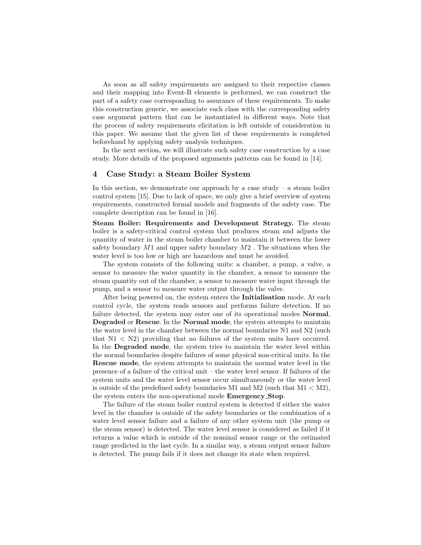As soon as all safety requirements are assigned to their respective classes and their mapping into Event-B elements is performed, we can construct the part of a safety case corresponding to assurance of these requirements. To make this construction generic, we associate each class with the corresponding safety case argument pattern that can be instantiated in different ways. Note that the process of safety requirements elicitation is left outside of consideration in this paper. We assume that the given list of these requirements is completed beforehand by applying safety analysis techniques.

In the next section, we will illustrate such safety case construction by a case study. More details of the proposed arguments patterns can be found in [14].

#### 4 Case Study: a Steam Boiler System

In this section, we demonstrate our approach by a case study  $-$  a steam boiler control system [15]. Due to lack of space, we only give a brief overview of system requirements, constructed formal models and fragments of the safety case. The complete description can be found in [16].

Steam Boiler: Requirements and Development Strategy. The steam boiler is a safety-critical control system that produces steam and adjusts the quantity of water in the steam boiler chamber to maintain it between the lower safety boundary  $M1$  and upper safety boundary  $M2$ . The situations when the water level is too low or high are hazardous and must be avoided.

The system consists of the following units: a chamber, a pump, a valve, a sensor to measure the water quantity in the chamber, a sensor to measure the steam quantity out of the chamber, a sensor to measure water input through the pump, and a sensor to measure water output through the valve.

After being powered on, the system enters the **Initialisation** mode. At each control cycle, the system reads sensors and performs failure detection. If no failure detected, the system may enter one of its operational modes Normal, Degraded or Rescue. In the Normal mode, the system attempts to maintain the water level in the chamber between the normal boundaries N1 and N2 (such that  $N1 < N2$ ) providing that no failures of the system units have occurred. In the Degraded mode, the system tries to maintain the water level within the normal boundaries despite failures of some physical non-critical units. In the Rescue mode, the system attempts to maintain the normal water level in the presence of a failure of the critical unit – the water level sensor. If failures of the system units and the water level sensor occur simultaneously or the water level is outside of the predefined safety boundaries M1 and M2 (such that  $M1 < M2$ ), the system enters the non-operational mode Emergency Stop.

The failure of the steam boiler control system is detected if either the water level in the chamber is outside of the safety boundaries or the combination of a water level sensor failure and a failure of any other system unit (the pump or the steam sensor) is detected. The water level sensor is considered as failed if it returns a value which is outside of the nominal sensor range or the estimated range predicted in the last cycle. In a similar way, a steam output sensor failure is detected. The pump fails if it does not change its state when required.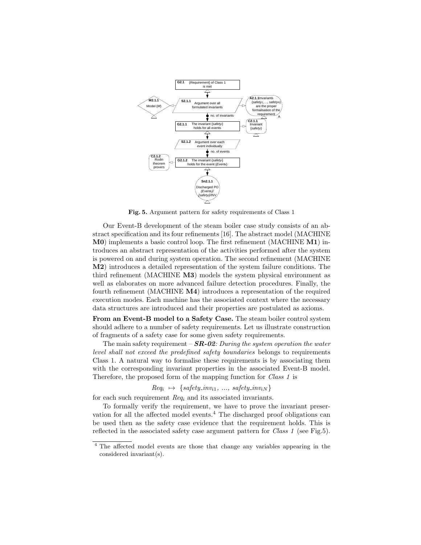

Fig. 5. Argument pattern for safety requirements of Class 1

Our Event-B development of the steam boiler case study consists of an abstract specification and its four refinements [16]. The abstract model (MACHINE M0) implements a basic control loop. The first refinement (MACHINE M1) introduces an abstract representation of the activities performed after the system is powered on and during system operation. The second refinement (MACHINE M2) introduces a detailed representation of the system failure conditions. The third refinement (MACHINE M3) models the system physical environment as well as elaborates on more advanced failure detection procedures. Finally, the fourth refinement (MACHINE M4) introduces a representation of the required execution modes. Each machine has the associated context where the necessary data structures are introduced and their properties are postulated as axioms.

From an Event-B model to a Safety Case. The steam boiler control system should adhere to a number of safety requirements. Let us illustrate construction of fragments of a safety case for some given safety requirements.

The main safety requirement –  $SR-02$ : During the system operation the water level shall not exceed the predefined safety boundaries belongs to requirements Class 1. A natural way to formalise these requirements is by associating them with the corresponding invariant properties in the associated Event-B model. Therefore, the proposed form of the mapping function for *Class 1* is

 $Reg_i \rightarrow \{safety\_inv_{i1}, ..., \,safety\_inv_{iN}\}\$ 

for each such requirement  $\text{Re}q_i$  and its associated invariants.

To formally verify the requirement, we have to prove the invariant preservation for all the affected model events.<sup>4</sup> The discharged proof obligations can be used then as the safety case evidence that the requirement holds. This is reflected in the associated safety case argument pattern for *Class 1* (see Fig.5).

<sup>4</sup> The affected model events are those that change any variables appearing in the considered invariant(s).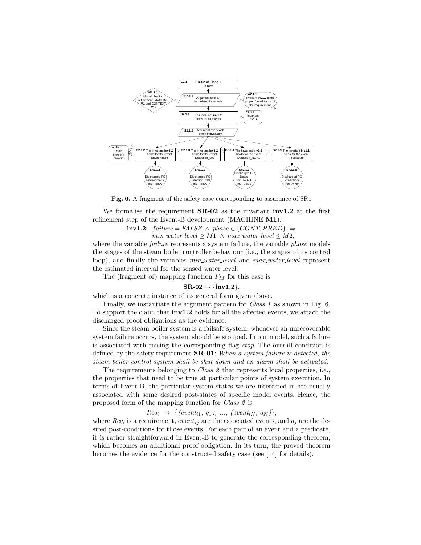

Fig. 6. A fragment of the safety case corresponding to assurance of SR1

We formalise the requirement **SR-02** as the invariant **inv1.2** at the first refinement step of the Event-B development (MACHINE M1):

inv1.2:  $failure = FALSE \wedge phase \in \{CONT, PRED\} \Rightarrow$ 

 $min\_water\_level > M1 \land max\_water\_level < M2$ ,

where the variable *failure* represents a system failure, the variable *phase* models the stages of the steam boiler controller behaviour (i.e., the stages of its control loop), and finally the variables  $min\_water\_level$  and  $max\_water\_level$  represent the estimated interval for the sensed water level.

The (fragment of) mapping function  $F_M$  for this case is

 $\text{SR-}02 \mapsto \{\text{inv1.2}\},\$ 

which is a concrete instance of its general form given above.

Finally, we instantiate the argument pattern for *Class 1* as shown in Fig. 6. To support the claim that inv1.2 holds for all the affected events, we attach the discharged proof obligations as the evidence.

Since the steam boiler system is a failsafe system, whenever an unrecoverable system failure occurs, the system should be stopped. In our model, such a failure is associated with raising the corresponding flag stop. The overall condition is defined by the safety requirement  $\text{SR-01}:$  When a system failure is detected, the steam boiler control system shall be shut down and an alarm shall be activated.

The requirements belonging to *Class 2* that represents local properties, i.e., the properties that need to be true at particular points of system execution. In terms of Event-B, the particular system states we are interested in are usually associated with some desired post-states of specific model events. Hence, the proposed form of the mapping function for Class 2 is

 $Req_i \mapsto \{ (event_{i1}, q_1), ..., (event_{iN}, q_N) \},$ 

where  $\textit{Req}_i$  is a requirement,  $event_{ij}$  are the associated events, and  $q_j$  are the desired post-conditions for those events. For each pair of an event and a predicate, it is rather straightforward in Event-B to generate the corresponding theorem, which becomes an additional proof obligation. In its turn, the proved theorem becomes the evidence for the constructed safety case (see [14] for details).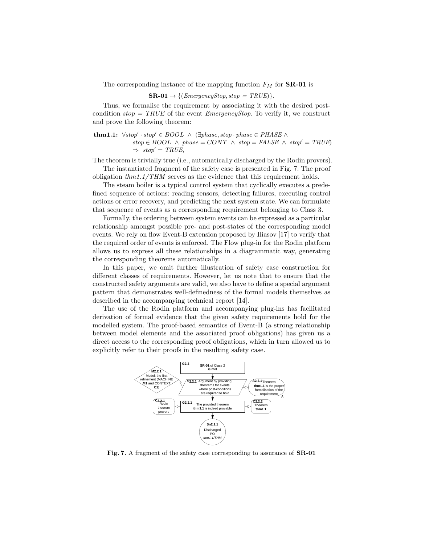The corresponding instance of the mapping function  $F_M$  for **SR-01** is

 $\mathbf{SR\text{-}01} \mapsto \{(\mathit{EnergyStop}, stop = \mathit{TRUE})\}.$ 

Thus, we formalise the requirement by associating it with the desired postcondition  $stop = TRUE$  of the event *EmergencyStop*. To verify it, we construct and prove the following theorem:

**thm1.1:**  $\forall stop' \cdot stop' \in BOOL \land (\exists phase, stop \cdot phase \in PHASE \land$  $stop \in BOOL \land phase = CONT \land stop = FALSE \land stop' = TRUE)$  $\Rightarrow stop' = TRUE,$ 

The theorem is trivially true (i.e., automatically discharged by the Rodin provers). The instantiated fragment of the safety case is presented in Fig. 7. The proof

obligation thm1.1/THM serves as the evidence that this requirement holds.

The steam boiler is a typical control system that cyclically executes a predefined sequence of actions: reading sensors, detecting failures, executing control actions or error recovery, and predicting the next system state. We can formulate that sequence of events as a corresponding requirement belonging to Class 3.

Formally, the ordering between system events can be expressed as a particular relationship amongst possible pre- and post-states of the corresponding model events. We rely on flow Event-B extension proposed by Iliasov [17] to verify that the required order of events is enforced. The Flow plug-in for the Rodin platform allows us to express all these relationships in a diagrammatic way, generating the corresponding theorems automatically.

In this paper, we omit further illustration of safety case construction for different classes of requirements. However, let us note that to ensure that the constructed safety arguments are valid, we also have to define a special argument pattern that demonstrates well-definedness of the formal models themselves as described in the accompanying technical report [14].

The use of the Rodin platform and accompanying plug-ins has facilitated derivation of formal evidence that the given safety requirements hold for the modelled system. The proof-based semantics of Event-B (a strong relationship between model elements and the associated proof obligations) has given us a direct access to the corresponding proof obligations, which in turn allowed us to explicitly refer to their proofs in the resulting safety case.



Fig. 7. A fragment of the safety case corresponding to assurance of SR-01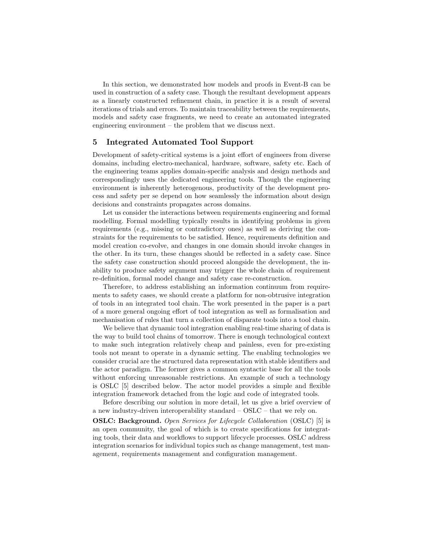In this section, we demonstrated how models and proofs in Event-B can be used in construction of a safety case. Though the resultant development appears as a linearly constructed refinement chain, in practice it is a result of several iterations of trials and errors. To maintain traceability between the requirements, models and safety case fragments, we need to create an automated integrated engineering environment – the problem that we discuss next.

#### 5 Integrated Automated Tool Support

Development of safety-critical systems is a joint effort of engineers from diverse domains, including electro-mechanical, hardware, software, safety etc. Each of the engineering teams applies domain-specific analysis and design methods and correspondingly uses the dedicated engineering tools. Though the engineering environment is inherently heterogenous, productivity of the development process and safety per se depend on how seamlessly the information about design decisions and constraints propagates across domains.

Let us consider the interactions between requirements engineering and formal modelling. Formal modelling typically results in identifying problems in given requirements (e.g., missing or contradictory ones) as well as deriving the constraints for the requirements to be satisfied. Hence, requirements definition and model creation co-evolve, and changes in one domain should invoke changes in the other. In its turn, these changes should be reflected in a safety case. Since the safety case construction should proceed alongside the development, the inability to produce safety argument may trigger the whole chain of requirement re-definition, formal model change and safety case re-construction.

Therefore, to address establishing an information continuum from requirements to safety cases, we should create a platform for non-obtrusive integration of tools in an integrated tool chain. The work presented in the paper is a part of a more general ongoing effort of tool integration as well as formalisation and mechanisation of rules that turn a collection of disparate tools into a tool chain.

We believe that dynamic tool integration enabling real-time sharing of data is the way to build tool chains of tomorrow. There is enough technological context to make such integration relatively cheap and painless, even for pre-existing tools not meant to operate in a dynamic setting. The enabling technologies we consider crucial are the structured data representation with stable identifiers and the actor paradigm. The former gives a common syntactic base for all the tools without enforcing unreasonable restrictions. An example of such a technology is OSLC [5] described below. The actor model provides a simple and flexible integration framework detached from the logic and code of integrated tools.

Before describing our solution in more detail, let us give a brief overview of a new industry-driven interoperability standard – OSLC – that we rely on.

OSLC: Background. Open Services for Lifecycle Collaboration (OSLC) [5] is an open community, the goal of which is to create specifications for integrating tools, their data and workflows to support lifecycle processes. OSLC address integration scenarios for individual topics such as change management, test management, requirements management and configuration management.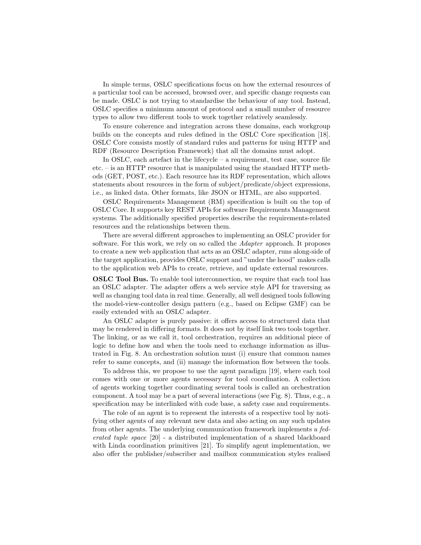In simple terms, OSLC specifications focus on how the external resources of a particular tool can be accessed, browsed over, and specific change requests can be made. OSLC is not trying to standardise the behaviour of any tool. Instead, OSLC specifies a minimum amount of protocol and a small number of resource types to allow two different tools to work together relatively seamlessly.

To ensure coherence and integration across these domains, each workgroup builds on the concepts and rules defined in the OSLC Core specification [18]. OSLC Core consists mostly of standard rules and patterns for using HTTP and RDF (Resource Description Framework) that all the domains must adopt.

In OSLC, each artefact in the lifecycle – a requirement, test case, source file etc. – is an HTTP resource that is manipulated using the standard HTTP methods (GET, POST, etc.). Each resource has its RDF representation, which allows statements about resources in the form of subject/predicate/object expressions, i.e., as linked data. Other formats, like JSON or HTML, are also supported.

OSLC Requirements Management (RM) specification is built on the top of OSLC Core. It supports key REST APIs for software Requirements Management systems. The additionally specified properties describe the requirements-related resources and the relationships between them.

There are several different approaches to implementing an OSLC provider for software. For this work, we rely on so called the *Adapter* approach. It proposes to create a new web application that acts as an OSLC adapter, runs along-side of the target application, provides OSLC support and "under the hood" makes calls to the application web APIs to create, retrieve, and update external resources.

OSLC Tool Bus. To enable tool interconnection, we require that each tool has an OSLC adapter. The adapter offers a web service style API for traversing as well as changing tool data in real time. Generally, all well designed tools following the model-view-controller design pattern (e.g., based on Eclipse GMF) can be easily extended with an OSLC adapter.

An OSLC adapter is purely passive: it offers access to structured data that may be rendered in differing formats. It does not by itself link two tools together. The linking, or as we call it, tool orchestration, requires an additional piece of logic to define how and when the tools need to exchange information as illustrated in Fig. 8. An orchestration solution must (i) ensure that common names refer to same concepts, and (ii) manage the information flow between the tools.

To address this, we propose to use the agent paradigm [19], where each tool comes with one or more agents necessary for tool coordination. A collection of agents working together coordinating several tools is called an orchestration component. A tool may be a part of several interactions (see Fig. 8). Thus, e.g., a specification may be interlinked with code base, a safety case and requirements.

The role of an agent is to represent the interests of a respective tool by notifying other agents of any relevant new data and also acting on any such updates from other agents. The underlying communication framework implements a federated tuple space [20] - a distributed implementation of a shared blackboard with Linda coordination primitives [21]. To simplify agent implementation, we also offer the publisher/subscriber and mailbox communication styles realised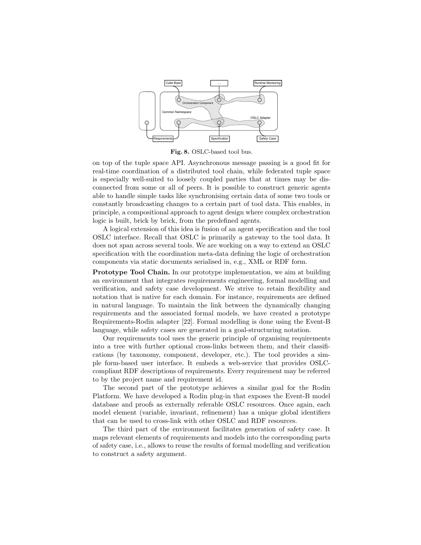

Fig. 8. OSLC-based tool bus.

on top of the tuple space API. Asynchronous message passing is a good fit for real-time coordination of a distributed tool chain, while federated tuple space is especially well-suited to loosely coupled parties that at times may be disconnected from some or all of peers. It is possible to construct generic agents able to handle simple tasks like synchronising certain data of some two tools or constantly broadcasting changes to a certain part of tool data. This enables, in principle, a compositional approach to agent design where complex orchestration logic is built, brick by brick, from the predefined agents.

A logical extension of this idea is fusion of an agent specification and the tool OSLC interface. Recall that OSLC is primarily a gateway to the tool data. It does not span across several tools. We are working on a way to extend an OSLC specification with the coordination meta-data defining the logic of orchestration components via static documents serialised in, e.g., XML or RDF form.

Prototype Tool Chain. In our prototype implementation, we aim at building an environment that integrates requirements engineering, formal modelling and verification, and safety case development. We strive to retain flexibility and notation that is native for each domain. For instance, requirements are defined in natural language. To maintain the link between the dynamically changing requirements and the associated formal models, we have created a prototype Requirements-Rodin adapter [22]. Formal modelling is done using the Event-B language, while safety cases are generated in a goal-structuring notation.

Our requirements tool uses the generic principle of organising requirements into a tree with further optional cross-links between them, and their classifications (by taxonomy, component, developer, etc.). The tool provides a simple form-based user interface. It embeds a web-service that provides OSLCcompliant RDF descriptions of requirements. Every requirement may be referred to by the project name and requirement id.

The second part of the prototype achieves a similar goal for the Rodin Platform. We have developed a Rodin plug-in that exposes the Event-B model database and proofs as externally referable OSLC resources. Once again, each model element (variable, invariant, refinement) has a unique global identifiers that can be used to cross-link with other OSLC and RDF resources.

The third part of the environment facilitates generation of safety case. It maps relevant elements of requirements and models into the corresponding parts of safety case, i.e., allows to reuse the results of formal modelling and verification to construct a safety argument.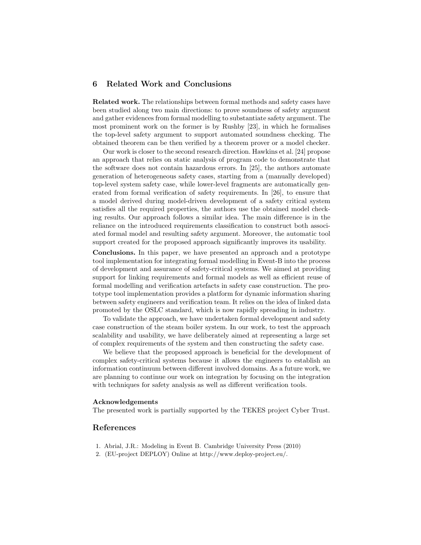## 6 Related Work and Conclusions

Related work. The relationships between formal methods and safety cases have been studied along two main directions: to prove soundness of safety argument and gather evidences from formal modelling to substantiate safety argument. The most prominent work on the former is by Rushby [23], in which he formalises the top-level safety argument to support automated soundness checking. The obtained theorem can be then verified by a theorem prover or a model checker.

Our work is closer to the second research direction. Hawkins et al. [24] propose an approach that relies on static analysis of program code to demonstrate that the software does not contain hazardous errors. In [25], the authors automate generation of heterogeneous safety cases, starting from a (manually developed) top-level system safety case, while lower-level fragments are automatically generated from formal verification of safety requirements. In [26], to ensure that a model derived during model-driven development of a safety critical system satisfies all the required properties, the authors use the obtained model checking results. Our approach follows a similar idea. The main difference is in the reliance on the introduced requirements classification to construct both associated formal model and resulting safety argument. Moreover, the automatic tool support created for the proposed approach significantly improves its usability.

Conclusions. In this paper, we have presented an approach and a prototype tool implementation for integrating formal modelling in Event-B into the process of development and assurance of safety-critical systems. We aimed at providing support for linking requirements and formal models as well as efficient reuse of formal modelling and verification artefacts in safety case construction. The prototype tool implementation provides a platform for dynamic information sharing between safety engineers and verification team. It relies on the idea of linked data promoted by the OSLC standard, which is now rapidly spreading in industry.

To validate the approach, we have undertaken formal development and safety case construction of the steam boiler system. In our work, to test the approach scalability and usability, we have deliberately aimed at representing a large set of complex requirements of the system and then constructing the safety case.

We believe that the proposed approach is beneficial for the development of complex safety-critical systems because it allows the engineers to establish an information continuum between different involved domains. As a future work, we are planning to continue our work on integration by focusing on the integration with techniques for safety analysis as well as different verification tools.

#### Acknowledgements

The presented work is partially supported by the TEKES project Cyber Trust.

#### References

- 1. Abrial, J.R.: Modeling in Event B. Cambridge University Press (2010)
- 2. (EU-project DEPLOY) Online at http://www.deploy-project.eu/.